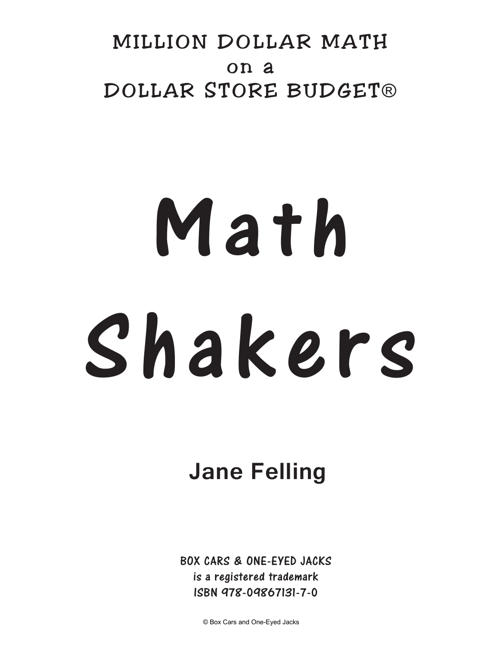# MILLION DOLLAR MATH on a DOLLAR STORE BUDGET®

# Math Shakers

# **Jane Felling**

BOX CARS & ONE-EYED JACKS is a registered trademark ISBN 978-09867131-7-0

© Box Cars and One-Eyed Jacks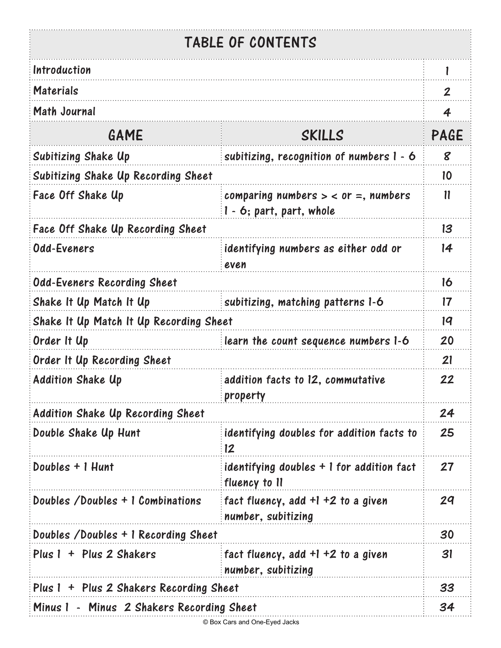### TABLE OF CONTENTS

- :

| Introduction                                        |                                                                   | l              |
|-----------------------------------------------------|-------------------------------------------------------------------|----------------|
| <b>Materials</b>                                    |                                                                   | $\mathbf{2}$   |
| <b>Math Journal</b>                                 |                                                                   | $\overline{4}$ |
| GAME                                                | SKILLS                                                            | PAGE           |
| Subitizing Shake Up                                 | subitizing, recognition of numbers $1 - 6$                        | 8              |
| Subitizing Shake Up Recording Sheet                 |                                                                   | 10             |
| Face Off Shake Up                                   | comparing numbers $>$ < or =, numbers<br>1 - 6; part, part, whole | $\mathbf{11}$  |
| Face Off Shake Up Recording Sheet                   |                                                                   | 13             |
| Odd-Eveners                                         | identifying numbers as either odd or<br>even                      | 14             |
| <b>Odd-Eveners Recording Sheet</b>                  |                                                                   |                |
| Shake It Up Match It Up                             | subitizing, matching patterns 1-6                                 | $\mathsf{17}$  |
| Shake It Up Match It Up Recording Sheet             |                                                                   | 19             |
| Order It Up<br>learn the count sequence numbers 1-6 |                                                                   | 20             |
| Order It Up Recording Sheet                         |                                                                   | 21             |
| <b>Addition Shake Up</b>                            | addition facts to 12, commutative<br>property                     | 22             |
| <b>Addition Shake Up Recording Sheet</b>            |                                                                   | 24             |
| Double Shake Up Hunt                                | identifying doubles for addition facts to<br>12                   | 25             |
| Doubles + 1 Hunt                                    | identifying doubles + 1 for addition fact<br>fluency to 11        | 27             |
| Doubles /Doubles + 1 Combinations                   | fact fluency, add $+1 + 2$ to a given<br>number, subitizing       | 29             |
| Doubles /Doubles + 1 Recording Sheet                |                                                                   | 30             |
| Plus 1 + Plus 2 Shakers                             | fact fluency, add $+1$ +2 to a given<br>number, subitizing        | 31             |
| Plus 1 + Plus 2 Shakers Recording Sheet             |                                                                   |                |
| Minus 1 - Minus 2 Shakers Recording Sheet           |                                                                   | 34             |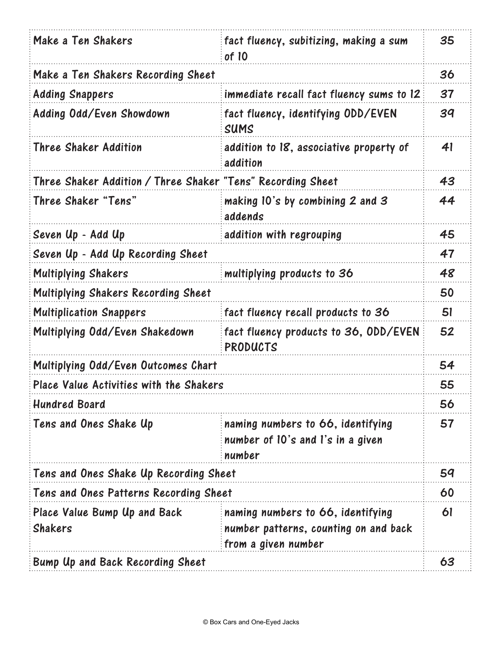| Make a Ten Shakers                                          | fact fluency, subitizing, making a sum<br>of 10                                                   |    |
|-------------------------------------------------------------|---------------------------------------------------------------------------------------------------|----|
| Make a Ten Shakers Recording Sheet                          |                                                                                                   | 36 |
| <b>Adding Snappers</b>                                      | immediate recall fact fluency sums to 12                                                          | 37 |
| Adding Odd/Even Showdown                                    | fact fluency, identifying ODD/EVEN<br>SUMS                                                        | 39 |
| <b>Three Shaker Addition</b>                                | addition to 18, associative property of<br>addition                                               | 41 |
| Three Shaker Addition / Three Shaker "Tens" Recording Sheet |                                                                                                   | 43 |
| Three Shaker "Tens"                                         | making 10's by combining 2 and 3<br>addends                                                       | 44 |
| Seven Up - Add Up                                           | addition with regrouping                                                                          | 45 |
| Seven Up - Add Up Recording Sheet                           |                                                                                                   |    |
| <b>Multiplying Shakers</b>                                  | multiplying products to 36                                                                        | 48 |
| Multiplying Shakers Recording Sheet                         |                                                                                                   | 50 |
| <b>Multiplication Snappers</b>                              | fact fluency recall products to 36                                                                | 51 |
| Multiplying Odd/Even Shakedown                              | fact fluency products to 36, ODD/EVEN<br>PRODUCTS                                                 | 52 |
| Multiplying Odd/Even Outcomes Chart                         |                                                                                                   | 54 |
| Place Value Activities with the Shakers                     |                                                                                                   | 55 |
| <b>Hundred Board</b>                                        |                                                                                                   | 56 |
| Tens and Ones Shake Up                                      | naming numbers to 66, identifying<br>number of 10's and l's in a given<br>number                  | 57 |
| Tens and Ones Shake Up Recording Sheet                      |                                                                                                   | 59 |
| Tens and Ones Patterns Recording Sheet                      |                                                                                                   | 60 |
| Place Value Bump Up and Back<br><b>Shakers</b>              | naming numbers to 66, identifying<br>number patterns, counting on and back<br>from a given number | 61 |
| Bump Up and Back Recording Sheet                            |                                                                                                   | 63 |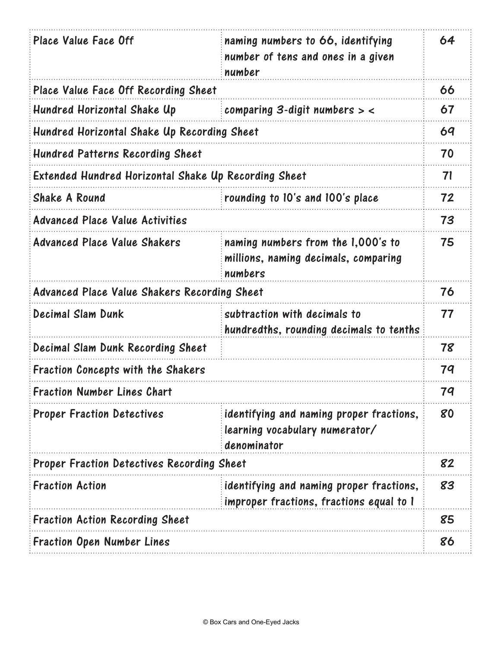| Place Value Face Off                                 | naming numbers to 66, identifying<br>number of tens and ones in a given<br>number         | 64 |
|------------------------------------------------------|-------------------------------------------------------------------------------------------|----|
| Place Value Face Off Recording Sheet                 |                                                                                           | 66 |
| Hundred Horizontal Shake Up                          | comparing 3-digit numbers $>$ <                                                           | 67 |
| Hundred Horizontal Shake Up Recording Sheet          |                                                                                           | 69 |
| <b>Hundred Patterns Recording Sheet</b>              |                                                                                           | 70 |
| Extended Hundred Horizontal Shake Up Recording Sheet |                                                                                           | 71 |
| <b>Shake A Round</b>                                 | rounding to 10's and 100's place                                                          | 72 |
| <b>Advanced Place Value Activities</b>               |                                                                                           | 73 |
| <b>Advanced Place Value Shakers</b>                  | naming numbers from the 1,000's to<br>millions, naming decimals, comparing<br>numbers     | 75 |
| Advanced Place Value Shakers Recording Sheet         |                                                                                           | 76 |
| Decimal Slam Dunk                                    | subtraction with decimals to<br>hundredths, rounding decimals to tenths                   | 77 |
| Decimal Slam Dunk Recording Sheet                    |                                                                                           | 78 |
| Fraction Concepts with the Shakers                   |                                                                                           | 79 |
| <b>Fraction Number Lines Chart</b>                   |                                                                                           | 79 |
| <b>Proper Fraction Detectives</b>                    | identifying and naming proper fractions,<br>learning vocabulary numerator/<br>denominator | 80 |
| <b>Proper Fraction Detectives Recording Sheet</b>    |                                                                                           | 82 |
| <b>Fraction Action</b>                               | identifying and naming proper fractions,<br>improper fractions, fractions equal to 1      | 83 |
| <b>Fraction Action Recording Sheet</b>               |                                                                                           | 85 |
| <b>Fraction Open Number Lines</b>                    |                                                                                           | 86 |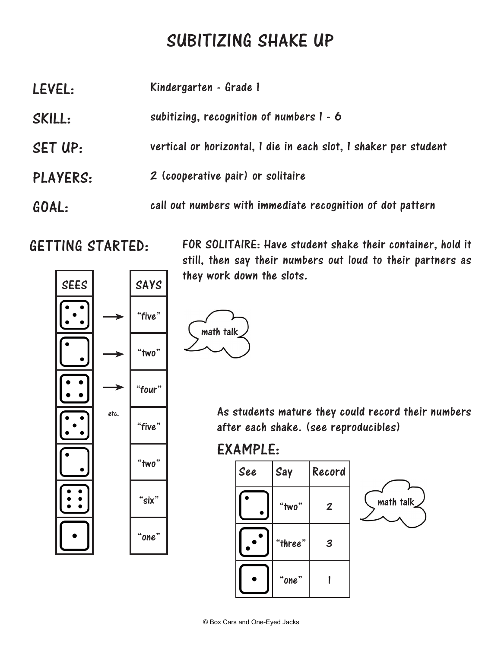# SUBITIZING SHAKE UP

| LEVEL:          | Kindergarten - Grade 1                                           |
|-----------------|------------------------------------------------------------------|
| SKILL:          | subitizing, recognition of numbers $1 - 6$                       |
| SET UP:         | vertical or horizontal, I die in each slot, I shaker per student |
| <b>PLAYERS:</b> | 2 (cooperative pair) or solitaire                                |
| GOAL:           | call out numbers with immediate recognition of dot pattern       |

### GETTING STARTED:



FOR SOLITAIRE: Have student shake their container, hold it still, then say their numbers out loud to their partners as they work down the slots.



etc. **As students mature they could record their numbers** after each shake. (see reproducibles)

### EXAMPLE:

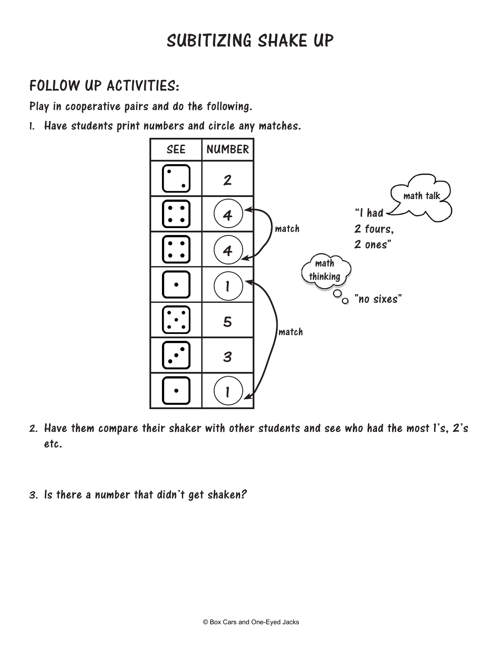# SUBITIZING SHAKE UP

### FOLLOW UP ACTIVITIES:

Play in cooperative pairs and do the following.

1. Have students print numbers and circle any matches.



- 2. Have them compare their shaker with other students and see who had the most 1's, 2's etc.
- 3. Is there a number that didn't get shaken?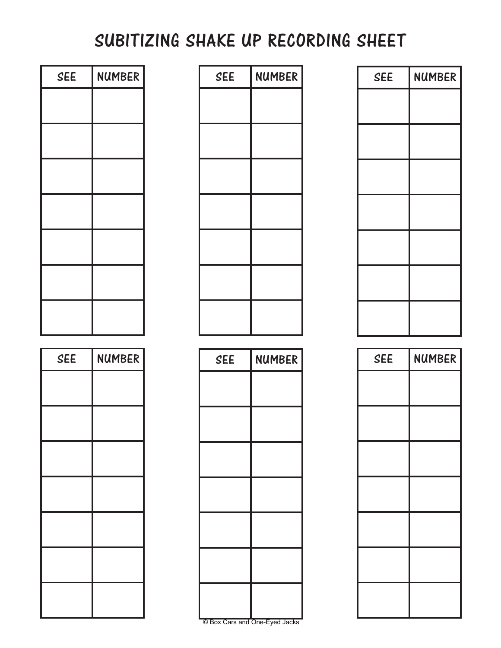# SUBITIZING SHAKE UP RECORDING SHEET

| <b>SEE</b> | <b>NUMBER</b> |
|------------|---------------|
|            |               |
|            |               |
|            |               |
|            |               |
|            |               |
|            |               |
|            |               |

| <b>SEE</b> | <b>NUMBER</b> |
|------------|---------------|
|            |               |
|            |               |
|            |               |
|            |               |
|            |               |
|            |               |
|            |               |

| SEE | NUMBER        | <b>SEE</b> | <b>NUMBER</b> | <b>SEE</b> | <b>NUMBER</b> |
|-----|---------------|------------|---------------|------------|---------------|
|     |               |            |               |            |               |
|     |               |            |               |            |               |
|     |               |            |               |            |               |
|     |               |            |               |            |               |
|     |               |            |               |            |               |
|     |               |            |               |            |               |
|     |               |            |               |            |               |
|     |               |            |               |            |               |
|     |               |            |               |            |               |
| SEE | <b>NUMBER</b> | <b>SEE</b> | <b>NUMBER</b> | <b>SEE</b> | <b>NUMBER</b> |
|     |               |            |               |            |               |
|     |               |            |               |            |               |
|     |               |            |               |            |               |

| <b>SEE</b> | NUMBER |  |
|------------|--------|--|
|            |        |  |
|            |        |  |
|            |        |  |
|            |        |  |
|            |        |  |
|            |        |  |
|            |        |  |

| <b>SEE</b> | <b>NUMBER</b> |
|------------|---------------|
|            |               |
|            |               |
|            |               |
|            |               |
|            |               |
|            |               |
|            |               |

| <b>SEE</b> | <b>NUMBER</b> |
|------------|---------------|
|            |               |
|            |               |
|            |               |
|            |               |
|            |               |
|            |               |
|            |               |

© Box Cars and One-Eyed Jacks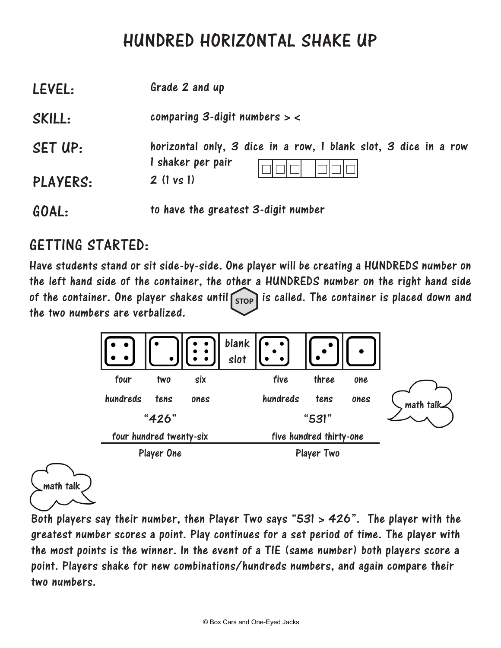## HUNDRED HORIZONTAL SHAKE UP

| LEVEL:          | Grade 2 and up                                                                       |
|-----------------|--------------------------------------------------------------------------------------|
| SKILL:          | comparing 3-digit numbers $>$ <                                                      |
| SET UP:         | horizontal only, 3 dice in a row, 1 blank slot, 3 dice in a row<br>I shaker per pair |
| <b>PLAYERS:</b> | $2$ (1 vs 1)                                                                         |
| GOAL:           | to have the greatest 3-digit number                                                  |

### GETTING STARTED:

Have students stand or sit side-by-side. One player will be creating a HUNDREDS number on the left hand side of the container, the other a HUNDREDS number on the right hand side of the container. One player shakes until stop is called. The container is placed down and the two numbers are verbalized.



math talk

Both players say their number, then Player Two says "531 > 426". The player with the greatest number scores a point. Play continues for a set period of time. The player with the most points is the winner. In the event of a TIE (same number) both players score a point. Players shake for new combinations/hundreds numbers, and again compare their two numbers.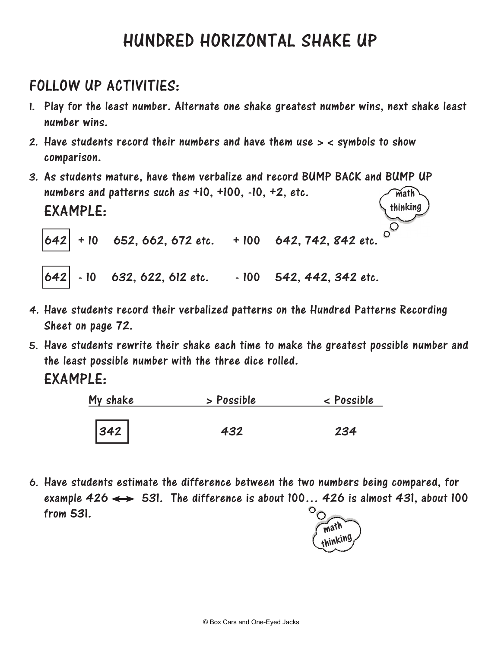# HUNDRED HORIZONTAL SHAKE UP

### FOLLOW UP ACTIVITIES:

- 1. Play for the least number. Alternate one shake greatest number wins, next shake least number wins.
- 2. Have students record their numbers and have them use > < symbols to show comparison.
- 3. As students mature, have them verbalize and record BUMP BACK and BUMP UP numbers and patterns such as +10, +100, -10, +2, etc. EXAMPLE: math thinking

 $642$  + 10 652, 662, 672 etc. + 100 642, 742, 842 etc.

642 - 10 632, 622, 612 etc. - 100 542, 442, 342 etc.

- 4. Have students record their verbalized patterns on the Hundred Patterns Recording Sheet on page 72.
- 5. Have students rewrite their shake each time to make the greatest possible number and the least possible number with the three dice rolled. EXAMPLE:

| My shake | > Possible | < Possible |
|----------|------------|------------|
|          |            |            |
| $342$    | 432        | 234        |

6. Have students estimate the difference between the two numbers being compared, for example 426  $\longleftrightarrow$  531. The difference is about 100... 426 is almost 431, about 100 O from 531. ◯

math thinking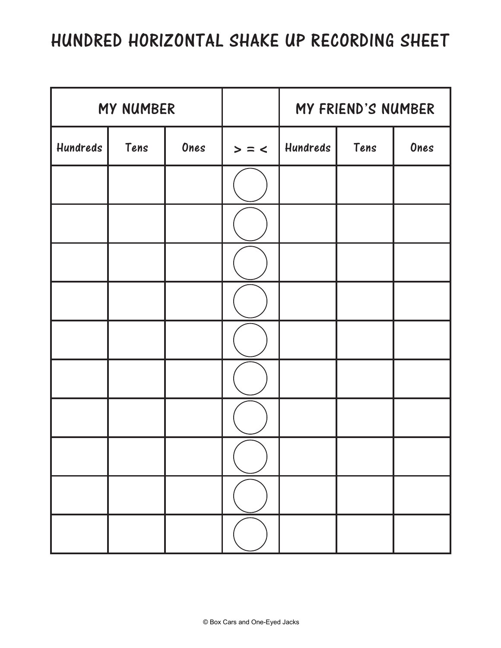# HUNDRED HORIZONTAL SHAKE UP RECORDING SHEET

| MY NUMBER |      |      |         | MY FRIEND'S NUMBER |      |      |
|-----------|------|------|---------|--------------------|------|------|
| Hundreds  | Tens | Ones | $>$ = < | Hundreds           | Tens | Ones |
|           |      |      |         |                    |      |      |
|           |      |      |         |                    |      |      |
|           |      |      |         |                    |      |      |
|           |      |      |         |                    |      |      |
|           |      |      |         |                    |      |      |
|           |      |      |         |                    |      |      |
|           |      |      |         |                    |      |      |
|           |      |      |         |                    |      |      |
|           |      |      |         |                    |      |      |
|           |      |      |         |                    |      |      |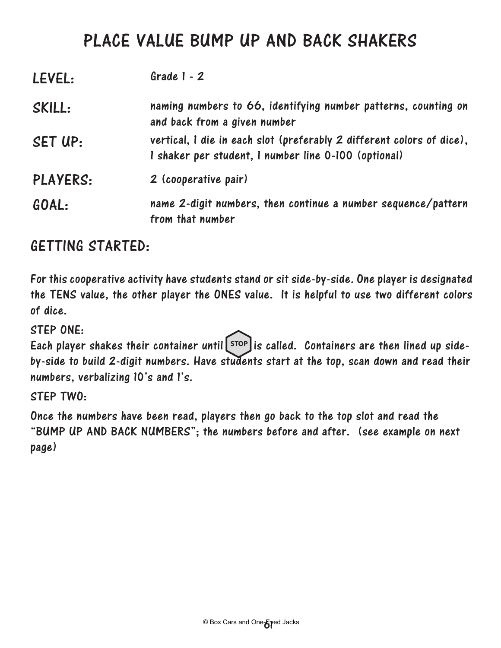### PLACE VALUE BUMP UP AND BACK SHAKERS

| LEVEL:          | Grade $1 - 2$                                                                                                                 |
|-----------------|-------------------------------------------------------------------------------------------------------------------------------|
| SKILL:          | naming numbers to 66, identifying number patterns, counting on<br>and back from a given number                                |
| SET UP:         | vertical, I die in each slot (preferably 2 different colors of dice),<br>I shaker per student, I number line 0-100 (optional) |
| <b>PLAYERS:</b> | 2 (cooperative pair)                                                                                                          |
| GOAL:           | name 2-digit numbers, then continue a number sequence/pattern<br>from that number                                             |

### GETTING STARTED:

For this cooperative activity have students stand or sit side-by-side. One player is designated the TENS value, the other player the ONES value. It is helpful to use two different colors of dice.

STEP ONE:

Each player shakes their container until stop is called. Containers are then lined up sideby-side to build 2-digit numbers. Have students start at the top, scan down and read their numbers, verbalizing 10's and 1's.

STEP TWO:

Once the numbers have been read, players then go back to the top slot and read the "BUMP UP AND BACK NUMBERS"; the numbers before and after. (see example on next page)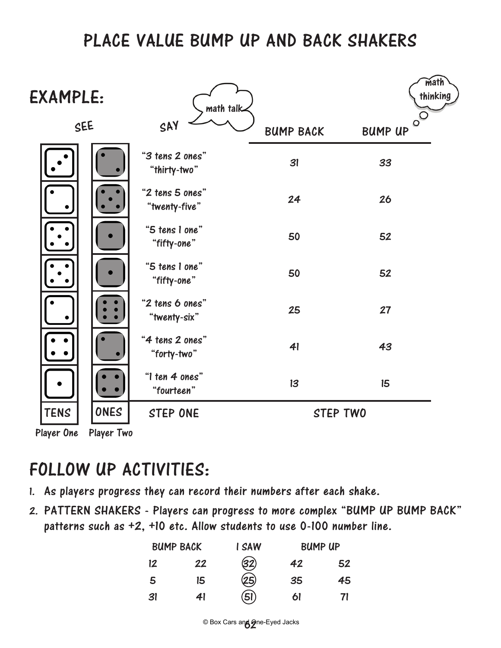### PLACE VALUE BUMP UP AND BACK SHAKERS

| <b>EXAMPLE:</b> |            | math talk                        |                  | math<br>thinking          |  |
|-----------------|------------|----------------------------------|------------------|---------------------------|--|
| SEE             |            | SAY                              | <b>BUMP BACK</b> | $\circ$<br><b>BUMP UP</b> |  |
|                 |            | "3 tens 2 ones"<br>"thirty-two"  | 31               | 33                        |  |
|                 |            | "2 tens 5 ones"<br>"twenty-five" | 24               | 26                        |  |
|                 |            | "5 tens 1 one"<br>"fifty-one"    | 50               | 52                        |  |
|                 |            | "5 tens 1 one"<br>"fifty-one"    | 50               | 52                        |  |
|                 |            | "2 tens 6 ones"<br>"twenty-six"  | 25               | 27                        |  |
|                 |            | "4 tens 2 ones"<br>"forty-two"   | 41               | 43                        |  |
|                 |            | "I ten 4 ones"<br>"fourteen"     | 13               | 15                        |  |
| <b>TENS</b>     | ONES       | <b>STEP ONE</b>                  | <b>STEP TWO</b>  |                           |  |
| Player One      | Player Two |                                  |                  |                           |  |

# FOLLOW UP ACTIVITIES:

- 1. As players progress they can record their numbers after each shake.
- 2. PATTERN SHAKERS Players can progress to more complex "BUMP UP BUMP BACK" patterns such as +2, +10 etc. Allow students to use 0-100 number line.

| <b>BUMP BACK</b> |    | I SAW | <b>BUMP UP</b> |    |
|------------------|----|-------|----------------|----|
| 12               | 22 | (32)  | 42             | 52 |
| 5                | 15 | 25)   | 35             | 45 |
| 31               | 41 | (51)  | 61             | 71 |